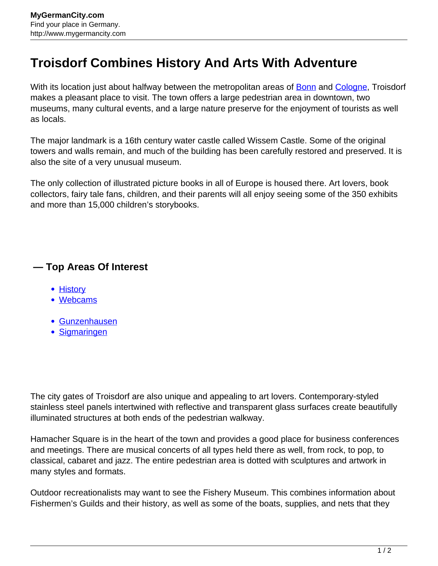## **Troisdorf Combines History And Arts With Adventure**

With its location just about halfway between the metropolitan areas of **Bonn and [Cologne](http://www.mygermancity.com/cologne)**, Troisdorf makes a pleasant place to visit. The town offers a large pedestrian area in downtown, two museums, many cultural events, and a large nature preserve for the enjoyment of tourists as well as locals.

The major landmark is a 16th century water castle called Wissem Castle. Some of the original towers and walls remain, and much of the building has been carefully restored and preserved. It is also the site of a very unusual museum.

The only collection of illustrated picture books in all of Europe is housed there. Art lovers, book collectors, fairy tale fans, children, and their parents will all enjoy seeing some of the 350 exhibits and more than 15,000 children's storybooks.

## **— Top Areas Of Interest**

- [History](http://www.mygermancity.com/leipzig-history)
- [Webcams](http://www.mygermancity.com/neustadt-holstein-webcams)
- [Gunzenhausen](http://www.mygermancity.com/gunzenhausen)
- [Sigmaringen](http://www.mygermancity.com/sigmaringen)

The city gates of Troisdorf are also unique and appealing to art lovers. Contemporary-styled stainless steel panels intertwined with reflective and transparent glass surfaces create beautifully illuminated structures at both ends of the pedestrian walkway.

Hamacher Square is in the heart of the town and provides a good place for business conferences and meetings. There are musical concerts of all types held there as well, from rock, to pop, to classical, cabaret and jazz. The entire pedestrian area is dotted with sculptures and artwork in many styles and formats.

Outdoor recreationalists may want to see the Fishery Museum. This combines information about Fishermen's Guilds and their history, as well as some of the boats, supplies, and nets that they